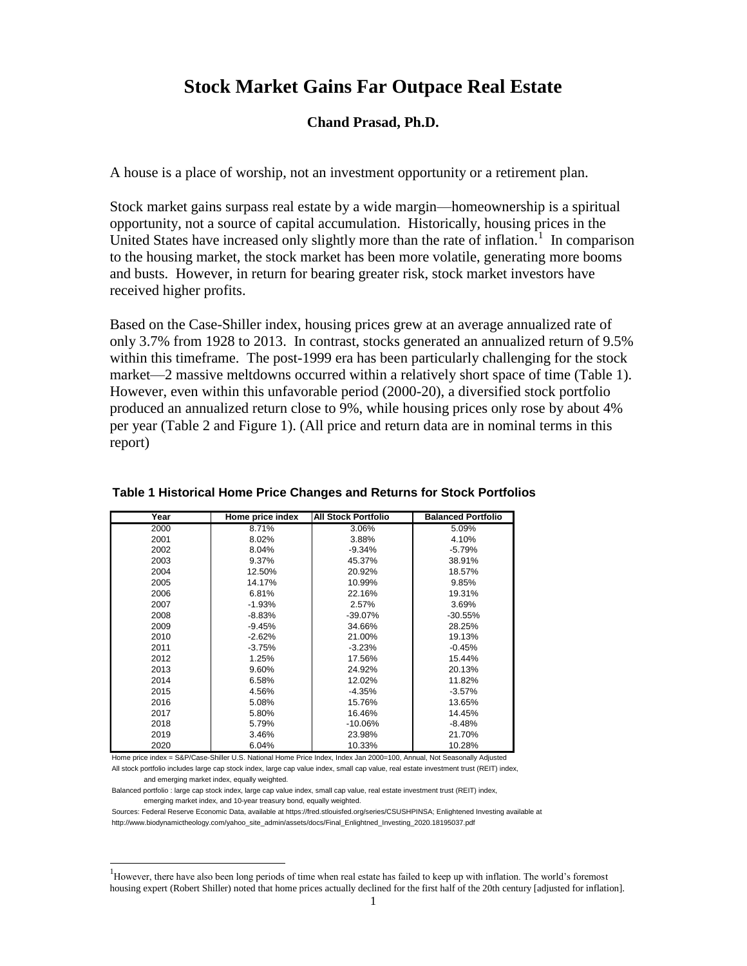# **Stock Market Gains Far Outpace Real Estate**

## **Chand Prasad, Ph.D.**

A house is a place of worship, not an investment opportunity or a retirement plan.

Stock market gains surpass real estate by a wide margin—homeownership is a spiritual opportunity, not a source of capital accumulation. Historically, housing prices in the United States have increased only slightly more than the rate of inflation.<sup>1</sup> In comparison to the housing market, the stock market has been more volatile, generating more booms and busts. However, in return for bearing greater risk, stock market investors have received higher profits.

Based on the Case-Shiller index, housing prices grew at an average annualized rate of only 3.7% from 1928 to 2013. In contrast, stocks generated an annualized return of 9.5% within this timeframe. The post-1999 era has been particularly challenging for the stock market—2 massive meltdowns occurred within a relatively short space of time (Table 1). However, even within this unfavorable period (2000-20), a diversified stock portfolio produced an annualized return close to 9%, while housing prices only rose by about 4% per year (Table 2 and Figure 1). (All price and return data are in nominal terms in this report)

| Year | Home price index | <b>All Stock Portfolio</b> | <b>Balanced Portfolio</b> |
|------|------------------|----------------------------|---------------------------|
| 2000 | 8.71%            | 3.06%                      | 5.09%                     |
| 2001 | 8.02%            | 3.88%                      | 4.10%                     |
| 2002 | 8.04%            | $-9.34%$                   | $-5.79%$                  |
| 2003 | 9.37%            | 45.37%                     | 38.91%                    |
| 2004 | 12.50%           | 20.92%                     | 18.57%                    |
| 2005 | 14.17%           | 10.99%                     | 9.85%                     |
| 2006 | 6.81%            | 22.16%                     | 19.31%                    |
| 2007 | $-1.93%$         | 2.57%                      | 3.69%                     |
| 2008 | $-8.83%$         | -39.07%                    | $-30.55%$                 |
| 2009 | $-9.45%$         | 34.66%                     | 28.25%                    |
| 2010 | $-2.62%$         | 21.00%                     | 19.13%                    |
| 2011 | $-3.75%$         | $-3.23%$                   | $-0.45%$                  |
| 2012 | 1.25%            | 17.56%                     | 15.44%                    |
| 2013 | 9.60%            | 24.92%                     | 20.13%                    |
| 2014 | 6.58%            | 12.02%                     | 11.82%                    |
| 2015 | 4.56%            | $-4.35%$                   | $-3.57%$                  |
| 2016 | 5.08%            | 15.76%                     | 13.65%                    |
| 2017 | 5.80%            | 16.46%                     | 14.45%                    |
| 2018 | 5.79%            | $-10.06%$                  | $-8.48%$                  |
| 2019 | 3.46%            | 23.98%                     | 21.70%                    |
| 2020 | 6.04%            | 10.33%                     | 10.28%                    |

#### **Table 1 Historical Home Price Changes and Returns for Stock Portfolios**

Home price index = S&P/Case-Shiller U.S. National Home Price Index, Index Jan 2000=100, Annual, Not Seasonally Adjusted

All stock portfolio includes large cap stock index, large cap value index, small cap value, real estate investment trust (REIT) index, and emerging market index, equally weighted.

Balanced portfolio : large cap stock index, large cap value index, small cap value, real estate investment trust (REIT) index, emerging market index, and 10-year treasury bond, equally weighted.

 $\overline{a}$ 

Sources: Federal Reserve Economic Data, available at https://fred.stlouisfed.org/series/CSUSHPINSA; Enlightened Investing available at http://www.biodynamictheology.com/yahoo\_site\_admin/assets/docs/Final\_Enlightned\_Investing\_2020.18195037.pdf

<sup>&</sup>lt;sup>1</sup>However, there have also been long periods of time when real estate has failed to keep up with inflation. The world's foremost housing expert (Robert Shiller) noted that home prices actually declined for the first half of the 20th century [adjusted for inflation].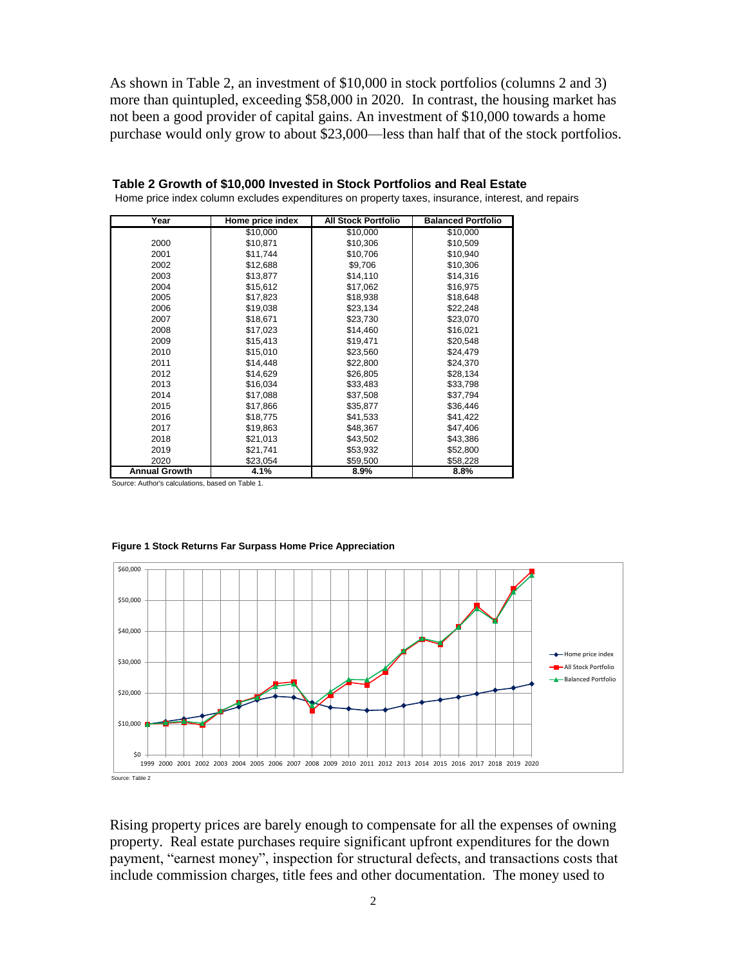As shown in Table 2, an investment of \$10,000 in stock portfolios (columns 2 and 3) more than quintupled, exceeding \$58,000 in 2020. In contrast, the housing market has not been a good provider of capital gains. An investment of \$10,000 towards a home purchase would only grow to about \$23,000—less than half that of the stock portfolios.

| Year                 | Home price index | <b>All Stock Portfolio</b> | <b>Balanced Portfolio</b> |
|----------------------|------------------|----------------------------|---------------------------|
|                      | \$10,000         | \$10,000                   | \$10,000                  |
| 2000                 | \$10.871         | \$10,306                   | \$10.509                  |
| 2001                 | \$11,744         | \$10,706                   | \$10,940                  |
| 2002                 | \$12,688         | \$9,706                    | \$10,306                  |
| 2003                 | \$13,877         | \$14,110                   | \$14,316                  |
| 2004                 | \$15,612         | \$17,062                   | \$16,975                  |
| 2005                 | \$17,823         | \$18,938                   | \$18,648                  |
| 2006                 | \$19,038         | \$23,134                   | \$22,248                  |
| 2007                 | \$18,671         | \$23,730                   | \$23,070                  |
| 2008                 | \$17,023         | \$14,460                   | \$16,021                  |
| 2009                 | \$15,413         | \$19,471                   | \$20,548                  |
| 2010                 | \$15,010         | \$23,560                   | \$24,479                  |
| 2011                 | \$14,448         | \$22,800                   | \$24,370                  |
| 2012                 | \$14,629         | \$26,805                   | \$28,134                  |
| 2013                 | \$16,034         | \$33,483                   | \$33,798                  |
| 2014                 | \$17,088         | \$37,508                   | \$37,794                  |
| 2015                 | \$17,866         | \$35,877                   | \$36,446                  |
| 2016                 | \$18,775         | \$41,533                   | \$41,422                  |
| 2017                 | \$19,863         | \$48,367                   | \$47,406                  |
| 2018                 | \$21,013         | \$43,502                   | \$43,386                  |
| 2019                 | \$21,741         | \$53,932                   | \$52,800                  |
| 2020                 | \$23,054         | \$59,500                   | \$58,228                  |
| <b>Annual Growth</b> | 4.1%             | 8.9%                       | 8.8%                      |

| Table 2 Growth of \$10,000 Invested in Stock Portfolios and Real Estate                           |
|---------------------------------------------------------------------------------------------------|
| Home price index column excludes expenditures on property taxes, insurance, interest, and repairs |

Source: Author's calculations, based on Table 1.



#### **Figure 1 Stock Returns Far Surpass Home Price Appreciation**

Rising property prices are barely enough to compensate for all the expenses of owning property. Real estate purchases require significant upfront expenditures for the down payment, "earnest money", inspection for structural defects, and transactions costs that include commission charges, title fees and other documentation. The money used to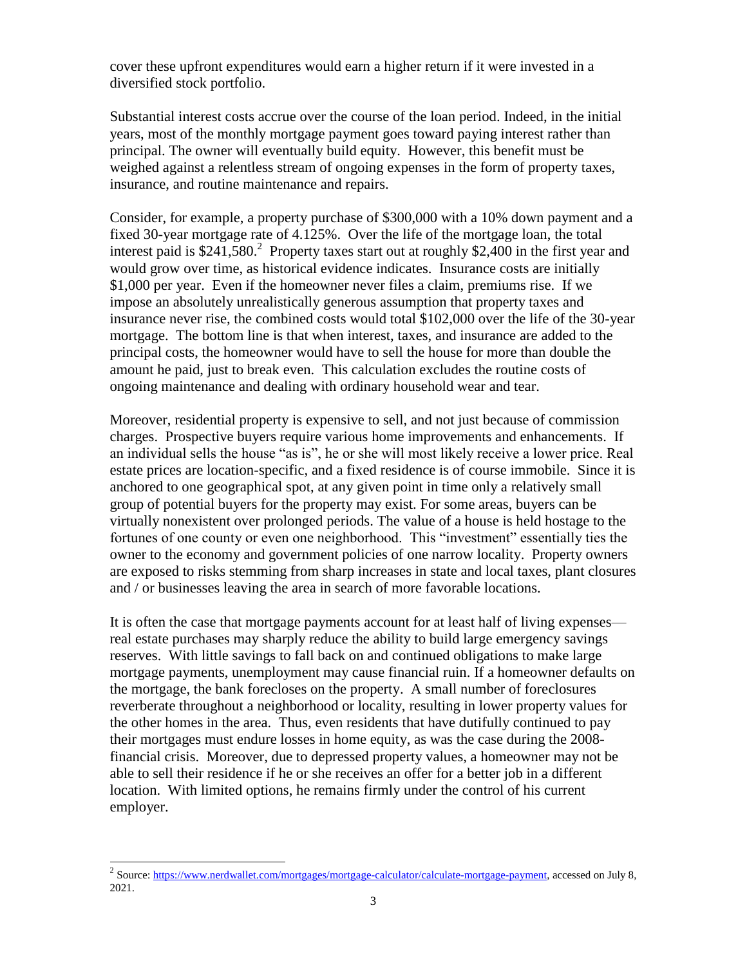cover these upfront expenditures would earn a higher return if it were invested in a diversified stock portfolio.

Substantial interest costs accrue over the course of the loan period. Indeed, in the initial years, most of the monthly mortgage payment goes toward paying interest rather than principal. The owner will eventually build equity. However, this benefit must be weighed against a relentless stream of ongoing expenses in the form of property taxes, insurance, and routine maintenance and repairs.

Consider, for example, a property purchase of \$300,000 with a 10% down payment and a fixed 30-year mortgage rate of 4.125%. Over the life of the mortgage loan, the total interest paid is  $$241,580$ <sup>2</sup> Property taxes start out at roughly  $$2,400$  in the first year and would grow over time, as historical evidence indicates. Insurance costs are initially \$1,000 per year. Even if the homeowner never files a claim, premiums rise. If we impose an absolutely unrealistically generous assumption that property taxes and insurance never rise, the combined costs would total \$102,000 over the life of the 30-year mortgage. The bottom line is that when interest, taxes, and insurance are added to the principal costs, the homeowner would have to sell the house for more than double the amount he paid, just to break even. This calculation excludes the routine costs of ongoing maintenance and dealing with ordinary household wear and tear.

Moreover, residential property is expensive to sell, and not just because of commission charges. Prospective buyers require various home improvements and enhancements. If an individual sells the house "as is", he or she will most likely receive a lower price. Real estate prices are location-specific, and a fixed residence is of course immobile. Since it is anchored to one geographical spot, at any given point in time only a relatively small group of potential buyers for the property may exist. For some areas, buyers can be virtually nonexistent over prolonged periods. The value of a house is held hostage to the fortunes of one county or even one neighborhood. This "investment" essentially ties the owner to the economy and government policies of one narrow locality. Property owners are exposed to risks stemming from sharp increases in state and local taxes, plant closures and / or businesses leaving the area in search of more favorable locations.

It is often the case that mortgage payments account for at least half of living expenses real estate purchases may sharply reduce the ability to build large emergency savings reserves. With little savings to fall back on and continued obligations to make large mortgage payments, unemployment may cause financial ruin. If a homeowner defaults on the mortgage, the bank forecloses on the property. A small number of foreclosures reverberate throughout a neighborhood or locality, resulting in lower property values for the other homes in the area. Thus, even residents that have dutifully continued to pay their mortgages must endure losses in home equity, as was the case during the 2008 financial crisis. Moreover, due to depressed property values, a homeowner may not be able to sell their residence if he or she receives an offer for a better job in a different location. With limited options, he remains firmly under the control of his current employer.

 $\overline{a}$ 

<sup>&</sup>lt;sup>2</sup> Source: <u>https://www.nerdwallet.com/mortgages/mortgage-calculator/calculate-mortgage-payment, accessed on July 8,</u> 2021.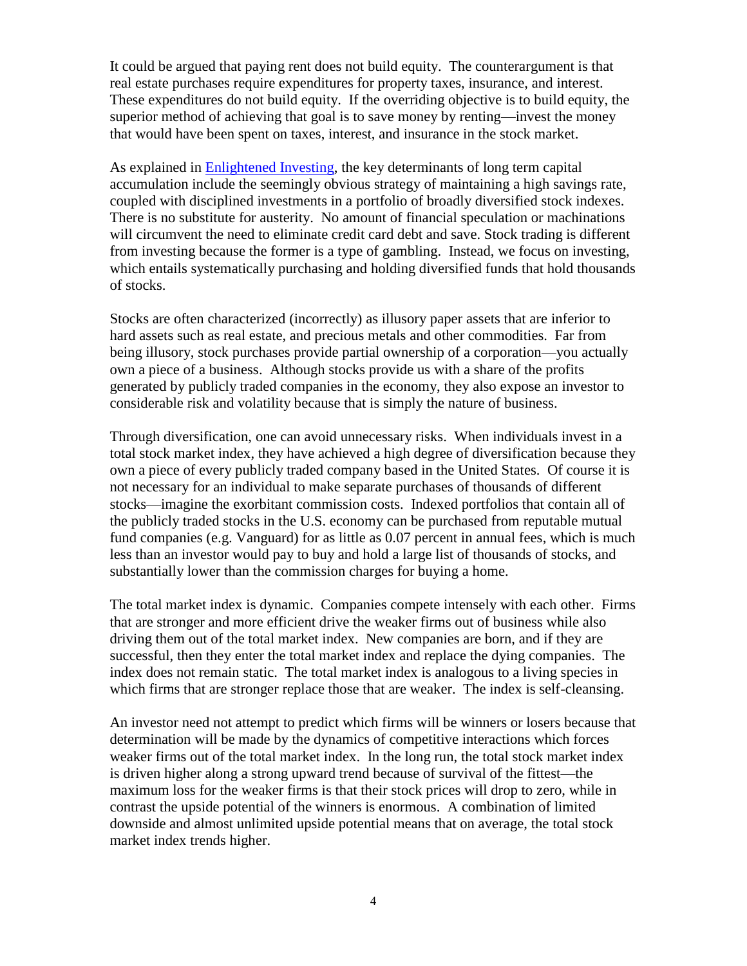It could be argued that paying rent does not build equity. The counterargument is that real estate purchases require expenditures for property taxes, insurance, and interest. These expenditures do not build equity. If the overriding objective is to build equity, the superior method of achieving that goal is to save money by renting—invest the money that would have been spent on taxes, interest, and insurance in the stock market.

As explained in [Enlightened Investing,](http://www.biodynamictheology.com/2020_update_of_enlightened_investing) the key determinants of long term capital accumulation include the seemingly obvious strategy of maintaining a high savings rate, coupled with disciplined investments in a portfolio of broadly diversified stock indexes. There is no substitute for austerity. No amount of financial speculation or machinations will circumvent the need to eliminate credit card debt and save. Stock trading is different from investing because the former is a type of gambling. Instead, we focus on investing, which entails systematically purchasing and holding diversified funds that hold thousands of stocks.

Stocks are often characterized (incorrectly) as illusory paper assets that are inferior to hard assets such as real estate, and precious metals and other commodities. Far from being illusory, stock purchases provide partial ownership of a corporation—you actually own a piece of a business. Although stocks provide us with a share of the profits generated by publicly traded companies in the economy, they also expose an investor to considerable risk and volatility because that is simply the nature of business.

Through diversification, one can avoid unnecessary risks. When individuals invest in a total stock market index, they have achieved a high degree of diversification because they own a piece of every publicly traded company based in the United States. Of course it is not necessary for an individual to make separate purchases of thousands of different stocks—imagine the exorbitant commission costs. Indexed portfolios that contain all of the publicly traded stocks in the U.S. economy can be purchased from reputable mutual fund companies (e.g. Vanguard) for as little as 0.07 percent in annual fees, which is much less than an investor would pay to buy and hold a large list of thousands of stocks, and substantially lower than the commission charges for buying a home.

The total market index is dynamic. Companies compete intensely with each other. Firms that are stronger and more efficient drive the weaker firms out of business while also driving them out of the total market index. New companies are born, and if they are successful, then they enter the total market index and replace the dying companies. The index does not remain static. The total market index is analogous to a living species in which firms that are stronger replace those that are weaker. The index is self-cleansing.

An investor need not attempt to predict which firms will be winners or losers because that determination will be made by the dynamics of competitive interactions which forces weaker firms out of the total market index. In the long run, the total stock market index is driven higher along a strong upward trend because of survival of the fittest—the maximum loss for the weaker firms is that their stock prices will drop to zero, while in contrast the upside potential of the winners is enormous. A combination of limited downside and almost unlimited upside potential means that on average, the total stock market index trends higher.